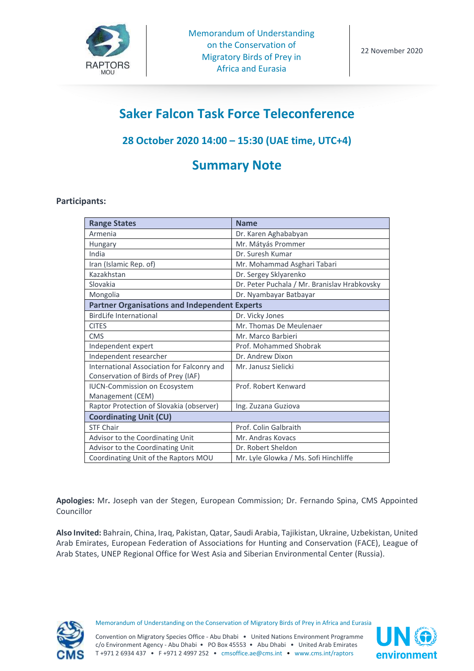

# **Saker Falcon Task Force Teleconference**

### **28 October 2020 14:00 – 15:30 (UAE time, UTC+4)**

## **Summary Note**

#### **Participants:**

| <b>Range States</b>                                  | <b>Name</b>                                  |
|------------------------------------------------------|----------------------------------------------|
| Armenia                                              | Dr. Karen Aghababyan                         |
| Hungary                                              | Mr. Mátyás Prommer                           |
| India                                                | Dr. Suresh Kumar                             |
| Iran (Islamic Rep. of)                               | Mr. Mohammad Asghari Tabari                  |
| Kazakhstan                                           | Dr. Sergey Sklyarenko                        |
| Slovakia                                             | Dr. Peter Puchala / Mr. Branislav Hrabkovsky |
| Mongolia                                             | Dr. Nyambayar Batbayar                       |
| <b>Partner Organisations and Independent Experts</b> |                                              |
| <b>BirdLife International</b>                        | Dr. Vicky Jones                              |
| <b>CITES</b>                                         | Mr. Thomas De Meulenaer                      |
| <b>CMS</b>                                           | Mr. Marco Barbieri                           |
| Independent expert                                   | Prof. Mohammed Shobrak                       |
| Independent researcher                               | Dr. Andrew Dixon                             |
| International Association for Falconry and           | Mr. Janusz Sielicki                          |
| Conservation of Birds of Prey (IAF)                  |                                              |
| <b>IUCN-Commission on Ecosystem</b>                  | Prof. Robert Kenward                         |
| Management (CEM)                                     |                                              |
| Raptor Protection of Slovakia (observer)             | Ing. Zuzana Guziova                          |
| <b>Coordinating Unit (CU)</b>                        |                                              |
| <b>STF Chair</b>                                     | Prof. Colin Galbraith                        |
| Advisor to the Coordinating Unit                     | Mr. Andras Kovacs                            |
| Advisor to the Coordinating Unit                     | Dr. Robert Sheldon                           |
| Coordinating Unit of the Raptors MOU                 | Mr. Lyle Glowka / Ms. Sofi Hinchliffe        |

**Apologies:** Mr**.** Joseph van der Stegen, European Commission; Dr. Fernando Spina, CMS Appointed Councillor

**Also Invited:** Bahrain, China, Iraq, Pakistan, Qatar, Saudi Arabia, Tajikistan, Ukraine, Uzbekistan, United Arab Emirates, European Federation of Associations for Hunting and Conservation (FACE), League of Arab States, UNEP Regional Office for West Asia and Siberian Environmental Center (Russia).



Memorandum of Understanding on the Conservation of Migratory Birds of Prey in Africa and Eurasia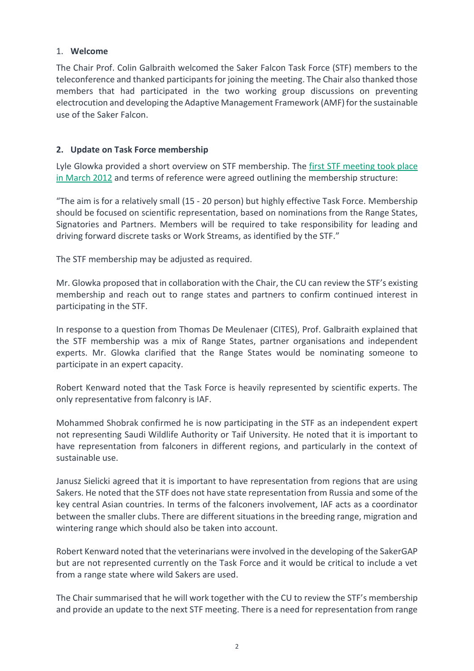#### 1. **Welcome**

The Chair Prof. Colin Galbraith welcomed the Saker Falcon Task Force (STF) members to the teleconference and thanked participants for joining the meeting. The Chair also thanked those members that had participated in the two working group discussions on preventing electrocution and developing the Adaptive Management Framework (AMF) for the sustainable use of the Saker Falcon.

#### **2. Update on Task Force membership**

Lyle Glowka provided a short overview on STF membership. The first STF meeting took place [in March 2012](https://www.cms.int/raptors/en/meeting/1st-meeting-saker-falcon-task-force) and terms of reference were agreed outlining the membership structure:

"The aim is for a relatively small (15 - 20 person) but highly effective Task Force. Membership should be focused on scientific representation, based on nominations from the Range States, Signatories and Partners. Members will be required to take responsibility for leading and driving forward discrete tasks or Work Streams, as identified by the STF."

The STF membership may be adjusted as required.

Mr. Glowka proposed that in collaboration with the Chair, the CU can review the STF's existing membership and reach out to range states and partners to confirm continued interest in participating in the STF.

In response to a question from Thomas De Meulenaer (CITES), Prof. Galbraith explained that the STF membership was a mix of Range States, partner organisations and independent experts. Mr. Glowka clarified that the Range States would be nominating someone to participate in an expert capacity.

Robert Kenward noted that the Task Force is heavily represented by scientific experts. The only representative from falconry is IAF.

Mohammed Shobrak confirmed he is now participating in the STF as an independent expert not representing Saudi Wildlife Authority or Taif University. He noted that it is important to have representation from falconers in different regions, and particularly in the context of sustainable use.

Janusz Sielicki agreed that it is important to have representation from regions that are using Sakers. He noted that the STF does not have state representation from Russia and some of the key central Asian countries. In terms of the falconers involvement, IAF acts as a coordinator between the smaller clubs. There are different situations in the breeding range, migration and wintering range which should also be taken into account.

Robert Kenward noted that the veterinarians were involved in the developing of the SakerGAP but are not represented currently on the Task Force and it would be critical to include a vet from a range state where wild Sakers are used.

The Chair summarised that he will work together with the CU to review the STF's membership and provide an update to the next STF meeting. There is a need for representation from range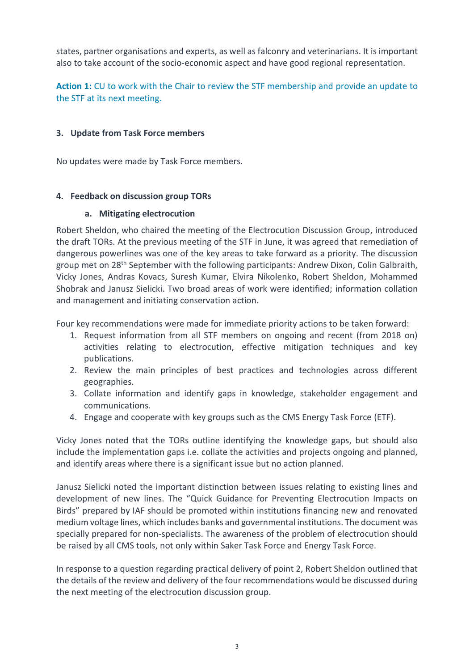states, partner organisations and experts, as well as falconry and veterinarians. It is important also to take account of the socio-economic aspect and have good regional representation.

**Action 1:** CU to work with the Chair to review the STF membership and provide an update to the STF at its next meeting.

#### **3. Update from Task Force members**

No updates were made by Task Force members.

#### **4. Feedback on discussion group TORs**

#### **a. Mitigating electrocution**

Robert Sheldon, who chaired the meeting of the Electrocution Discussion Group, introduced the draft TORs. At the previous meeting of the STF in June, it was agreed that remediation of dangerous powerlines was one of the key areas to take forward as a priority. The discussion group met on 28<sup>th</sup> September with the following participants: Andrew Dixon, Colin Galbraith, Vicky Jones, Andras Kovacs, Suresh Kumar, Elvira Nikolenko, Robert Sheldon, Mohammed Shobrak and Janusz Sielicki. Two broad areas of work were identified; information collation and management and initiating conservation action.

Four key recommendations were made for immediate priority actions to be taken forward:

- 1. Request information from all STF members on ongoing and recent (from 2018 on) activities relating to electrocution, effective mitigation techniques and key publications.
- 2. Review the main principles of best practices and technologies across different geographies.
- 3. Collate information and identify gaps in knowledge, stakeholder engagement and communications.
- 4. Engage and cooperate with key groups such as the CMS Energy Task Force (ETF).

Vicky Jones noted that the TORs outline identifying the knowledge gaps, but should also include the implementation gaps i.e. collate the activities and projects ongoing and planned, and identify areas where there is a significant issue but no action planned.

Janusz Sielicki noted the important distinction between issues relating to existing lines and development of new lines. The "Quick Guidance for Preventing Electrocution Impacts on Birds" prepared by IAF should be promoted within institutions financing new and renovated medium voltage lines, which includes banks and governmental institutions. The document was specially prepared for non-specialists. The awareness of the problem of electrocution should be raised by all CMS tools, not only within Saker Task Force and Energy Task Force.

In response to a question regarding practical delivery of point 2, Robert Sheldon outlined that the details of the review and delivery of the four recommendations would be discussed during the next meeting of the electrocution discussion group.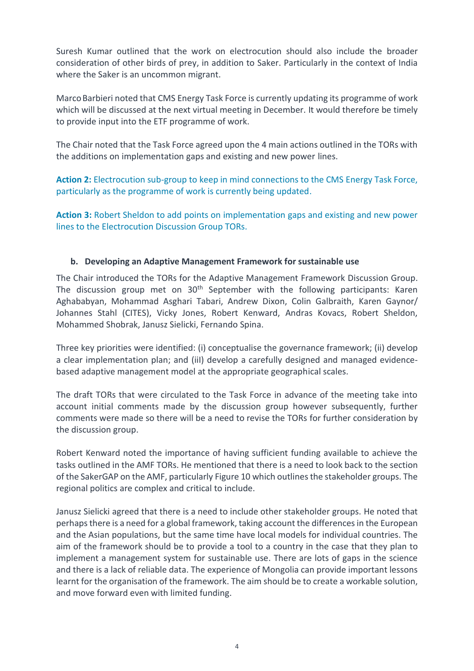Suresh Kumar outlined that the work on electrocution should also include the broader consideration of other birds of prey, in addition to Saker. Particularly in the context of India where the Saker is an uncommon migrant.

MarcoBarbieri noted that CMS Energy Task Force is currently updating its programme of work which will be discussed at the next virtual meeting in December. It would therefore be timely to provide input into the ETF programme of work.

The Chair noted that the Task Force agreed upon the 4 main actions outlined in the TORs with the additions on implementation gaps and existing and new power lines.

**Action 2:** Electrocution sub-group to keep in mind connections to the CMS Energy Task Force, particularly as the programme of work is currently being updated.

**Action 3:** Robert Sheldon to add points on implementation gaps and existing and new power lines to the Electrocution Discussion Group TORs.

#### **b. Developing an Adaptive Management Framework for sustainable use**

The Chair introduced the TORs for the Adaptive Management Framework Discussion Group. The discussion group met on  $30<sup>th</sup>$  September with the following participants: Karen Aghababyan, Mohammad Asghari Tabari, Andrew Dixon, Colin Galbraith, Karen Gaynor/ Johannes Stahl (CITES), Vicky Jones, Robert Kenward, Andras Kovacs, Robert Sheldon, Mohammed Shobrak, Janusz Sielicki, Fernando Spina.

Three key priorities were identified: (i) conceptualise the governance framework; (ii) develop a clear implementation plan; and (iiI) develop a carefully designed and managed evidencebased adaptive management model at the appropriate geographical scales.

The draft TORs that were circulated to the Task Force in advance of the meeting take into account initial comments made by the discussion group however subsequently, further comments were made so there will be a need to revise the TORs for further consideration by the discussion group.

Robert Kenward noted the importance of having sufficient funding available to achieve the tasks outlined in the AMF TORs. He mentioned that there is a need to look back to the section of the SakerGAP on the AMF, particularly Figure 10 which outlines the stakeholder groups. The regional politics are complex and critical to include.

Janusz Sielicki agreed that there is a need to include other stakeholder groups. He noted that perhaps there is a need for a global framework, taking account the differences in the European and the Asian populations, but the same time have local models for individual countries. The aim of the framework should be to provide a tool to a country in the case that they plan to implement a management system for sustainable use. There are lots of gaps in the science and there is a lack of reliable data. The experience of Mongolia can provide important lessons learnt for the organisation of the framework. The aim should be to create a workable solution, and move forward even with limited funding.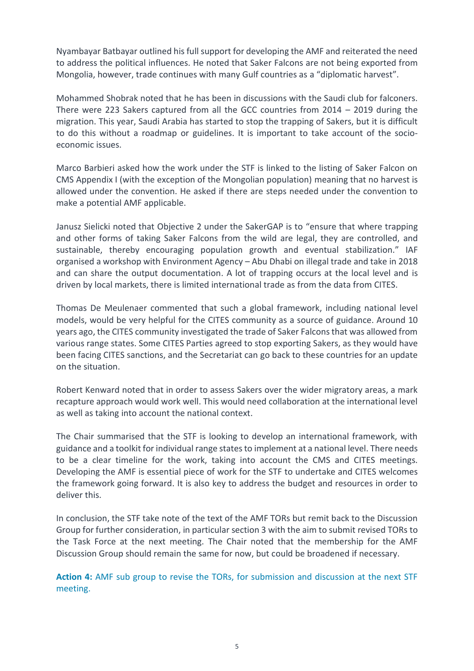Nyambayar Batbayar outlined his full support for developing the AMF and reiterated the need to address the political influences. He noted that Saker Falcons are not being exported from Mongolia, however, trade continues with many Gulf countries as a "diplomatic harvest".

Mohammed Shobrak noted that he has been in discussions with the Saudi club for falconers. There were 223 Sakers captured from all the GCC countries from 2014 – 2019 during the migration. This year, Saudi Arabia has started to stop the trapping of Sakers, but it is difficult to do this without a roadmap or guidelines. It is important to take account of the socioeconomic issues.

Marco Barbieri asked how the work under the STF is linked to the listing of Saker Falcon on CMS Appendix I (with the exception of the Mongolian population) meaning that no harvest is allowed under the convention. He asked if there are steps needed under the convention to make a potential AMF applicable.

Janusz Sielicki noted that Objective 2 under the SakerGAP is to "ensure that where trapping and other forms of taking Saker Falcons from the wild are legal, they are controlled, and sustainable, thereby encouraging population growth and eventual stabilization." IAF organised a workshop with Environment Agency – Abu Dhabi on illegal trade and take in 2018 and can share the output documentation. A lot of trapping occurs at the local level and is driven by local markets, there is limited international trade as from the data from CITES.

Thomas De Meulenaer commented that such a global framework, including national level models, would be very helpful for the CITES community as a source of guidance. Around 10 years ago, the CITES community investigated the trade of Saker Falcons that was allowed from various range states. Some CITES Parties agreed to stop exporting Sakers, as they would have been facing CITES sanctions, and the Secretariat can go back to these countries for an update on the situation.

Robert Kenward noted that in order to assess Sakers over the wider migratory areas, a mark recapture approach would work well. This would need collaboration at the international level as well as taking into account the national context.

The Chair summarised that the STF is looking to develop an international framework, with guidance and a toolkit for individual range states to implement at a national level. There needs to be a clear timeline for the work, taking into account the CMS and CITES meetings. Developing the AMF is essential piece of work for the STF to undertake and CITES welcomes the framework going forward. It is also key to address the budget and resources in order to deliver this.

In conclusion, the STF take note of the text of the AMF TORs but remit back to the Discussion Group for further consideration, in particular section 3 with the aim to submit revised TORs to the Task Force at the next meeting. The Chair noted that the membership for the AMF Discussion Group should remain the same for now, but could be broadened if necessary.

**Action 4:** AMF sub group to revise the TORs, for submission and discussion at the next STF meeting.